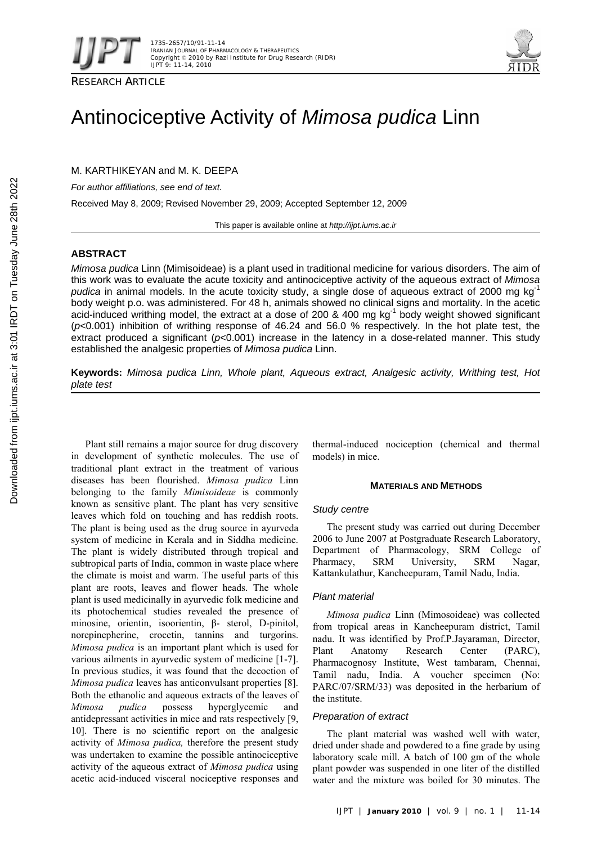



RESEARCH ARTICLE

# Antinociceptive Activity of *Mimosa pudica* Linn

M. KARTHIKEYAN and M. K. DEEPA

*For author affiliations, see end of text.* 

Received May 8, 2009; Revised November 29, 2009; Accepted September 12, 2009

This paper is available online at *http://ijpt.iums.ac.ir*

## **ABSTRACT**

*Mimosa pudica* Linn (Mimisoideae) is a plant used in traditional medicine for various disorders. The aim of this work was to evaluate the acute toxicity and antinociceptive activity of the aqueous extract of *Mimosa*  pudica in animal models. In the acute toxicity study, a single dose of aqueous extract of 2000 mg kg<sup>-1</sup> body weight p.o. was administered. For 48 h, animals showed no clinical signs and mortality. In the acetic acid-induced writhing model, the extract at a dose of 200 & 400 mg kg<sup>-1</sup> body weight showed significant (*p*<0.001) inhibition of writhing response of 46.24 and 56.0 % respectively. In the hot plate test, the extract produced a significant ( $p<0.001$ ) increase in the latency in a dose-related manner. This study established the analgesic properties of *Mimosa pudica* Linn.

**Keywords:** *Mimosa pudica Linn, Whole plant, Aqueous extract, Analgesic activity, Writhing test, Hot plate test* 

Plant still remains a major source for drug discovery in development of synthetic molecules. The use of traditional plant extract in the treatment of various diseases has been flourished. *Mimosa pudica* Linn belonging to the family *Mimisoideae* is commonly known as sensitive plant. The plant has very sensitive leaves which fold on touching and has reddish roots. The plant is being used as the drug source in ayurveda system of medicine in Kerala and in Siddha medicine. The plant is widely distributed through tropical and subtropical parts of India, common in waste place where the climate is moist and warm. The useful parts of this plant are roots, leaves and flower heads. The whole plant is used medicinally in ayurvedic folk medicine and its photochemical studies revealed the presence of minosine, orientin, isoorientin, β- sterol, D-pinitol, norepinepherine, crocetin, tannins and turgorins. *Mimosa pudica* is an important plant which is used for various ailments in ayurvedic system of medicine [1-7]. In previous studies, it was found that the decoction of *Mimosa pudica* leaves has anticonvulsant properties [8]. Both the ethanolic and aqueous extracts of the leaves of *Mimosa pudica* possess hyperglycemic and antidepressant activities in mice and rats respectively [9, 10]. There is no scientific report on the analgesic activity of *Mimosa pudica,* therefore the present study was undertaken to examine the possible antinociceptive activity of the aqueous extract of *Mimosa pudica* using acetic acid-induced visceral nociceptive responses and

thermal-induced nociception (chemical and thermal models) in mice.

## **MATERIALS AND METHODS**

## *Study centre*

The present study was carried out during December 2006 to June 2007 at Postgraduate Research Laboratory, Department of Pharmacology, SRM College of Pharmacy, SRM University, SRM Nagar, Kattankulathur, Kancheepuram, Tamil Nadu, India.

## *Plant material*

*Mimosa pudica* Linn (Mimosoideae) was collected from tropical areas in Kancheepuram district, Tamil nadu. It was identified by Prof.P.Jayaraman, Director, Plant Anatomy Research Center (PARC), Pharmacognosy Institute, West tambaram, Chennai, Tamil nadu, India. A voucher specimen (No: PARC/07/SRM/33) was deposited in the herbarium of the institute.

## *Preparation of extract*

The plant material was washed well with water, dried under shade and powdered to a fine grade by using laboratory scale mill. A batch of 100 gm of the whole plant powder was suspended in one liter of the distilled water and the mixture was boiled for 30 minutes. The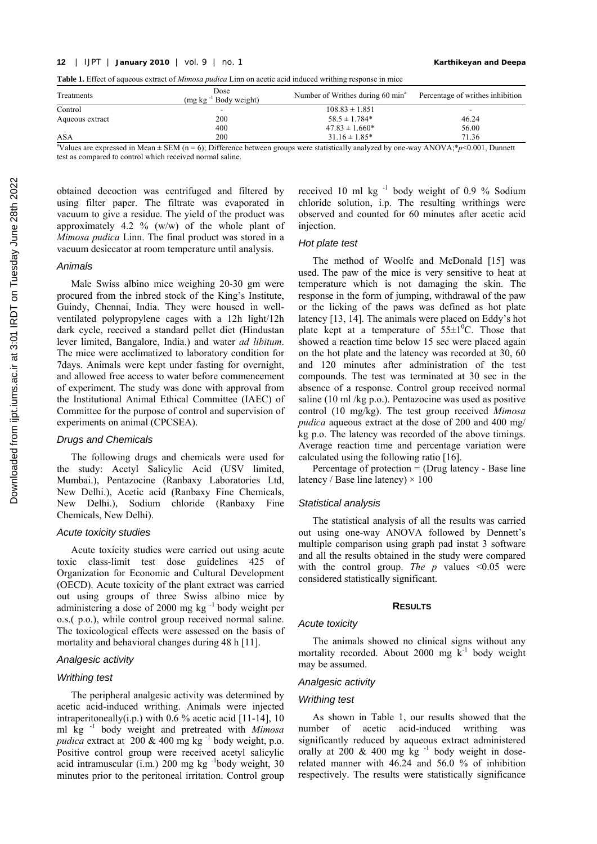**Table 1.** Effect of aqueous extract of *Mimosa pudica* Linn on acetic acid induced writhing response in mice

| Treatments                                                                                                                                | Dose<br>$(mg \text{ kg}^{-1} \text{ Body weight})$ | Number of Writhes during 60 min <sup>a</sup> | Percentage of writhes inhibition |  |  |  |
|-------------------------------------------------------------------------------------------------------------------------------------------|----------------------------------------------------|----------------------------------------------|----------------------------------|--|--|--|
| Control                                                                                                                                   |                                                    | $108.83 \pm 1.851$                           | $\overline{\phantom{0}}$         |  |  |  |
| Aqueous extract                                                                                                                           | 200                                                | $58.5 \pm 1.784*$                            | 46.24                            |  |  |  |
|                                                                                                                                           | 400                                                | $47.83 \pm 1.660*$                           | 56.00                            |  |  |  |
| ASA                                                                                                                                       | 200                                                | $31.16 \pm 1.85^*$                           | 71.36                            |  |  |  |
| "Values are expressed in Mean $\pm$ SEM (n = 6); Difference between groups were statistically analyzed by one-way ANOVA;*p<0.001, Dunnett |                                                    |                                              |                                  |  |  |  |

test as compared to control which received normal saline.

obtained decoction was centrifuged and filtered by using filter paper. The filtrate was evaporated in vacuum to give a residue. The yield of the product was approximately 4.2 % (w/w) of the whole plant of *Mimosa pudica* Linn. The final product was stored in a vacuum desiccator at room temperature until analysis.

## *Animals*

Male Swiss albino mice weighing 20-30 gm were procured from the inbred stock of the King's Institute, Guindy, Chennai, India. They were housed in wellventilated polypropylene cages with a 12h light/12h dark cycle, received a standard pellet diet (Hindustan lever limited, Bangalore, India.) and water *ad libitum*. The mice were acclimatized to laboratory condition for 7days. Animals were kept under fasting for overnight, and allowed free access to water before commencement of experiment. The study was done with approval from the Institutional Animal Ethical Committee (IAEC) of Committee for the purpose of control and supervision of experiments on animal (CPCSEA).

## *Drugs and Chemicals*

The following drugs and chemicals were used for the study: Acetyl Salicylic Acid (USV limited, Mumbai.), Pentazocine (Ranbaxy Laboratories Ltd, New Delhi.), Acetic acid (Ranbaxy Fine Chemicals, New Delhi.), Sodium chloride (Ranbaxy Fine Chemicals, New Delhi).

#### *Acute toxicity studies*

Acute toxicity studies were carried out using acute toxic class-limit test dose guidelines 425 of Organization for Economic and Cultural Development (OECD). Acute toxicity of the plant extract was carried out using groups of three Swiss albino mice by administering a dose of  $2000 \text{ mg kg}^{-1}$  body weight per o.s.( p.o.), while control group received normal saline. The toxicological effects were assessed on the basis of mortality and behavioral changes during 48 h [11].

## *Analgesic activity*

#### *Writhing test*

The peripheral analgesic activity was determined by acetic acid-induced writhing. Animals were injected intraperitoneally(i.p.) with  $0.6\%$  acetic acid [11-14], 10 ml kg -1 body weight and pretreated with *Mimosa pudica* extract at  $200 \& 400$  mg kg<sup>-1</sup> body weight, p.o. Positive control group were received acetyl salicylic acid intramuscular  $(i.m.)$  200 mg kg  $^{-1}$ body weight, 30 minutes prior to the peritoneal irritation. Control group

received 10 ml kg<sup>-1</sup> body weight of 0.9 % Sodium chloride solution, i.p. The resulting writhings were observed and counted for 60 minutes after acetic acid injection.

## *Hot plate test*

The method of Woolfe and McDonald [15] was used. The paw of the mice is very sensitive to heat at temperature which is not damaging the skin. The response in the form of jumping, withdrawal of the paw or the licking of the paws was defined as hot plate latency [13, 14]. The animals were placed on Eddy's hot plate kept at a temperature of  $55\pm1\textsuperscript{0}$ C. Those that showed a reaction time below 15 sec were placed again on the hot plate and the latency was recorded at 30, 60 and 120 minutes after administration of the test compounds. The test was terminated at 30 sec in the absence of a response. Control group received normal saline (10 ml /kg p.o.). Pentazocine was used as positive control (10 mg/kg). The test group received *Mimosa pudica* aqueous extract at the dose of 200 and 400 mg/ kg p.o. The latency was recorded of the above timings. Average reaction time and percentage variation were calculated using the following ratio [ 16].

Percentage of protection  $=$  (Drug latency - Base line latency / Base line latency)  $\times$  100

## *Statistical analysis*

The statistical analysis of all the results was carried out using one-way ANOVA followed by Dennett's multiple comparison using graph pad instat 3 software and all the results obtained in the study were compared with the control group. *The p* values  $\leq 0.05$  were considered statistically significant.

#### **RESULTS**

#### *Acute toxicity*

The animals showed no clinical signs without any mortality recorded. About 2000 mg  $\overline{k}^{-1}$  body weight may be assumed.

## *Analgesic activity*

#### *Writhing test*

As shown in Table 1, our results showed that the number of acetic acid-induced writhing was significantly reduced by aqueous extract administered orally at 200  $\&$  400 mg kg<sup>-1</sup> body weight in doserelated manner with 46.24 and 56.0 % of inhibition respectively. The results were statistically significance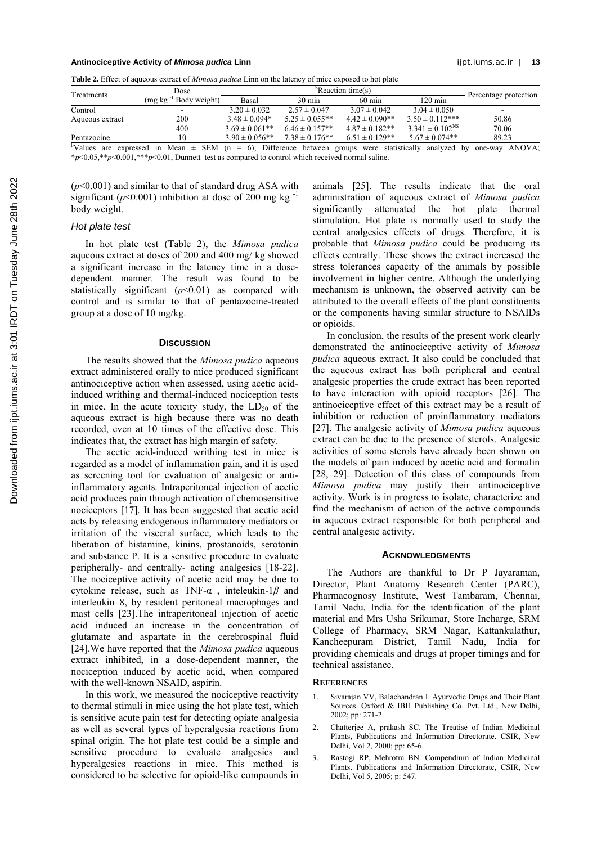#### **Antinociceptive Activity of** *Mimosa pudica* **Linn** ijpt.iums.ac.ir | **13**

**Table 2.** Effect of aqueous extract of *Mimosa pudica* Linn on the latency of mice exposed to hot plate b

| Treatments                 | Dose                                                    | "Reaction time(s)   |                     |                           | Percentage protection  |                         |
|----------------------------|---------------------------------------------------------|---------------------|---------------------|---------------------------|------------------------|-------------------------|
|                            | Body weight)<br>$(mg \text{ kg}^{-1})$                  | Basal               | $30 \text{ min}$    | $60 \text{ min}$          | $120 \text{ min}$      |                         |
| Control                    | -                                                       | $3.20 \pm 0.032$    | $2.57 \pm 0.047$    | $3.07 \pm 0.042$          | $3.04 \pm 0.050$       |                         |
| Aqueous extract            | 200                                                     | $3.48 \pm 0.094*$   | $5.25 \pm 0.055**$  | $4.42 \pm 0.090**$        | $3.50 \pm 0.112***$    | 50.86                   |
|                            | 400                                                     | $3.69 \pm 0.061**$  | $6.46 \pm 0.157**$  | $4.87 \pm 0.182**$        | $3.341 \pm 0.102^{NS}$ | 70.06                   |
| Pentazocine                | 10                                                      | $3.90 \pm 0.056$ ** | $7.38 \pm 0.176$ ** | $6.51 \pm 0.129**$        | $5.67 \pm 0.074**$     | 89.23                   |
| <sup>b</sup> Values<br>are | expressed in Mean $\pm$ SEM (n = 6); Difference between |                     |                     | groups were statistically | analyzed               | ANOVA:<br>by<br>one-way |

\**p*<0.05,\*\**p*<0.001,\*\*\**p*<0.01, Dunnett test as compared to control which received normal saline.

(*p*<0.001) and similar to that of standard drug ASA with significant ( $p<0.001$ ) inhibition at dose of 200 mg kg<sup>-1</sup> body weight.

#### *Hot plate test*

In hot plate test (Table 2), the *Mimosa pudica* aqueous extract at doses of 200 and 400 mg/ kg showed a significant increase in the latency time in a dosedependent manner. The result was found to be statistically significant  $(p<0.01)$  as compared with control and is similar to that of pentazocine-treated group at a dose of 10 mg/kg.

#### **DISCUSSION**

The results showed that the *Mimosa pudica* aqueous extract administered orally to mice produced significant antinociceptive action when assessed, using acetic acidinduced writhing and thermal-induced nociception tests in mice. In the acute toxicity study, the  $LD_{50}$  of the aqueous extract is high because there was no death recorded, even at 10 times of the effective dose. This indicates that, the extract has high margin of safety.

The acetic acid-induced writhing test in mice is regarded as a model of inflammation pain, and it is used as screening tool for evaluation of analgesic or antiinflammatory agents. Intraperitoneal injection of acetic acid produces pain through activation of chemosensitive nociceptors [ 17]. It has been suggested that acetic acid acts by releasing endogenous inflammatory mediators or irritation of the visceral surface, which leads to the liberation of histamine, kinins, prostanoids, serotonin and substance P. It is a sensitive procedure to evaluate peripherally- and centrally- acting analgesics [18-22]. The nociceptive activity of acetic acid may be due to cytokine release, such as TNF-α , inteleukin-1*β* and interleukin–8, by resident peritoneal macrophages and mast cells [ 23].The intraperitoneal injection of acetic acid induced an increase in the concentration of glutamate and aspartate in the cerebrospinal fluid [ 24].We have reported that the *Mimosa pudica* aqueous extract inhibited, in a dose-dependent manner, the nociception induced by acetic acid, when compared with the well-known NSAID, aspirin.

In this work, we measured the nociceptive reactivity to thermal stimuli in mice using the hot plate test, which is sensitive acute pain test for detecting opiate analgesia as well as several types of hyperalgesia reactions from spinal origin. The hot plate test could be a simple and sensitive procedure to evaluate analgesics and hyperalgesics reactions in mice. This method is considered to be selective for opioid-like compounds in

animals [ 25]. The results indicate that the oral administration of aqueous extract of *Mimosa pudica* significantly attenuated the hot plate thermal stimulation. Hot plate is normally used to study the central analgesics effects of drugs. Therefore, it is probable that *Mimosa pudica* could be producing its effects centrally. These shows the extract increased the stress tolerances capacity of the animals by possible involvement in higher centre. Although the underlying mechanism is unknown, the observed activity can be attributed to the overall effects of the plant constituents or the components having similar structure to NSAIDs or opioids.

In conclusion, the results of the present work clearly demonstrated the antinociceptive activity of *Mimosa pudica* aqueous extract. It also could be concluded that the aqueous extract has both peripheral and central analgesic properties the crude extract has been reported to have interaction with opioid receptors [26]. The antinociceptive effect of this extract may be a result of inhibition or reduction of proinflammatory mediators [ 27]. The analgesic activity of *Mimosa pudica* aqueous extract can be due to the presence of sterols. Analgesic activities of some sterols have already been shown on the models of pain induced by acetic acid and formalin [28, 29]. Detection of this class of compounds from *Mimosa pudica* may justify their antinociceptive activity. Work is in progress to isolate, characterize and find the mechanism of action of the active compounds in aqueous extract responsible for both peripheral and central analgesic activity.

#### **ACKNOWLEDGMENTS**

The Authors are thankful to Dr P Jayaraman, Director, Plant Anatomy Research Center (PARC), Pharmacognosy Institute, West Tambaram, Chennai, Tamil Nadu, India for the identification of the plant material and Mrs Usha Srikumar, Store Incharge, SRM College of Pharmacy, SRM Nagar, Kattankulathur, Kancheepuram District, Tamil Nadu, India for providing chemicals and drugs at proper timings and for technical assistance.

#### **REFERENCES**

- 1. Sivarajan VV, Balachandran I. Ayurvedic Drugs and Their Plant Sources. Oxford & IBH Publishing Co. Pvt. Ltd., New Delhi, 2002; pp: 271-2.
- 2. Chatterjee A, prakash SC. The Treatise of Indian Medicinal Plants, Publications and Information Directorate. CSIR, New Delhi, Vol 2, 2000; pp: 65-6.
- 3. Rastogi RP, Mehrotra BN. Compendium of Indian Medicinal Plants. Publications and Information Directorate, CSIR, New Delhi, Vol 5, 2005; p: 547.